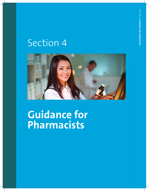## Section 4



**Guidance for Pharmacists**